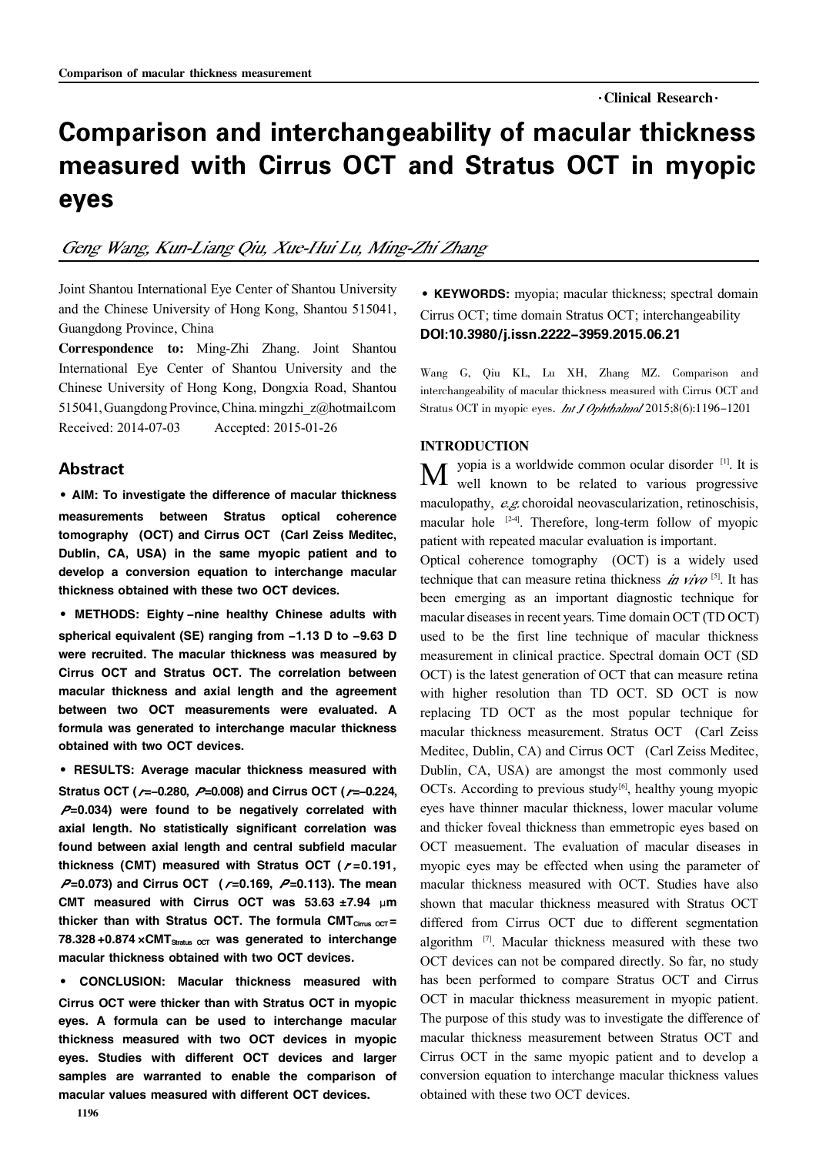$\cdot$ Clinical Research $\cdot$ 

# Comparison and interchangeability of macular thickness measured with Cirrus OCT and Stratus OCT in myopic eyes

# Geng Wang, Kun-Liang Qiu, Xue-Hui Lu, Ming-Zhi Zhang

Joint Shantou International Eye Center of Shantou University and the Chinese University of Hong Kong, Shantou 515041, Guangdong Province, China

Correspondence to: Ming-Zhi Zhang. Joint Shantou International Eye Center of Shantou University and the Chinese University of Hong Kong, Dongxia Road, Shantou 515041,GuangdongProvince,China.mingzhi\_z@hotmail.com Received: 2014-07-03 Accepted: 2015-01-26

### Abstract

·AIM: To investigate the difference of macular thickness measurements between Stratus optical coherence tomography (OCT) and Cirrus OCT (Carl Zeiss Meditec, Dublin, CA, USA) in the same myopic patient and to develop a conversion equation to interchange macular thickness obtained with these two OCT devices.

·METHODS: Eighty -nine healthy Chinese adults with spherical equivalent (SE) ranging from -1.13 D to -9.63 D were recruited. The macular thickness was measured by Cirrus OCT and Stratus OCT. The correlation between macular thickness and axial length and the agreement between two OCT measurements were evaluated. A formula was generated to interchange macular thickness obtained with two OCT devices.

·RESULTS: Average macular thickness measured with Stratus OCT ( $\mu$ =-0.280,  $\mu$ =0.008) and Cirrus OCT ( $\mu$ =-0.224,  $P=0.034$ ) were found to be negatively correlated with axial length. No statistically significant correlation was found between axial length and central subfield macular thickness (CMT) measured with Stratus OCT ( $r = 0.191$ ,  $P=0.073$ ) and Cirrus OCT ( $r=0.169$ ,  $P=0.113$ ). The mean CMT measured with Cirrus OCT was  $53.63 \pm 7.94$  µm thicker than with Stratus OCT. The formula CMT $_{Cirus~CCT}$  = 78.328 +0.874  $\times$ CMT<sub>Stratus oct</sub> was generated to interchange macular thickness obtained with two OCT devices.

· CONCLUSION: Macular thickness measured with Cirrus OCT were thicker than with Stratus OCT in myopic eyes. A formula can be used to interchange macular thickness measured with two OCT devices in myopic eyes. Studies with different OCT devices and larger samples are warranted to enable the comparison of macular values measured with different OCT devices.

·KEYWORDS: myopia; macular thickness; spectral domain Cirrus OCT; time domain Stratus OCT; interchangeability DOI:10.3980/j.issn.2222-3959.2015.06.21

Wang G, Qiu KL, Lu XH, Zhang MZ. Comparison and interchangeability of macular thickness measured with Cirrus OCT and Stratus OCT in myopic eyes. *Int J Ophthalmol* 2015;8(6):1196-1201

### INTRODUCTION

 $\bf{M}$  yopia is a worldwide common ocular disorder  $^{[1]}$ . It is yopia is a worldwide common ocular disorder [1] . It is maculopathy,  $e.g.$  choroidal neovascularization, retinoschisis, macular hole  $[24]$ . Therefore, long-term follow of myopic patient with repeated macular evaluation is important.

Optical coherence tomography (OCT) is a widely used technique that can measure retina thickness in  $Viv0$ <sup>[5]</sup>. It has been emerging as an important diagnostic technique for macular diseasesin recent years. Time domain OCT (TD OCT) used to be the first line technique of macular thickness measurement in clinical practice. Spectral domain OCT (SD OCT) is the latest generation of OCT that can measure retina with higher resolution than TD OCT. SD OCT is now replacing TD OCT as the most popular technique for macular thickness measurement. Stratus OCT (Carl Zeiss Meditec, Dublin, CA) and Cirrus OCT (Carl Zeiss Meditec, Dublin, CA, USA) are amongst the most commonly used OCTs. According to previous study $[6]$ , healthy young myopic eyes have thinner macular thickness, lower macular volume and thicker foveal thickness than emmetropic eyes based on OCT measuement. The evaluation of macular diseases in myopic eyes may be effected when using the parameter of macular thickness measured with OCT. Studies have also shown that macular thickness measured with Stratus OCT differed from Cirrus OCT due to different segmentation algorithm [7]. Macular thickness measured with these two OCT devices can not be compared directly. So far, no study has been performed to compare Stratus OCT and Cirrus OCT in macular thickness measurement in myopic patient. The purpose of this study was to investigate the difference of macular thickness measurement between Stratus OCT and Cirrus OCT in the same myopic patient and to develop a conversion equation to interchange macular thickness values obtained with these two OCT devices.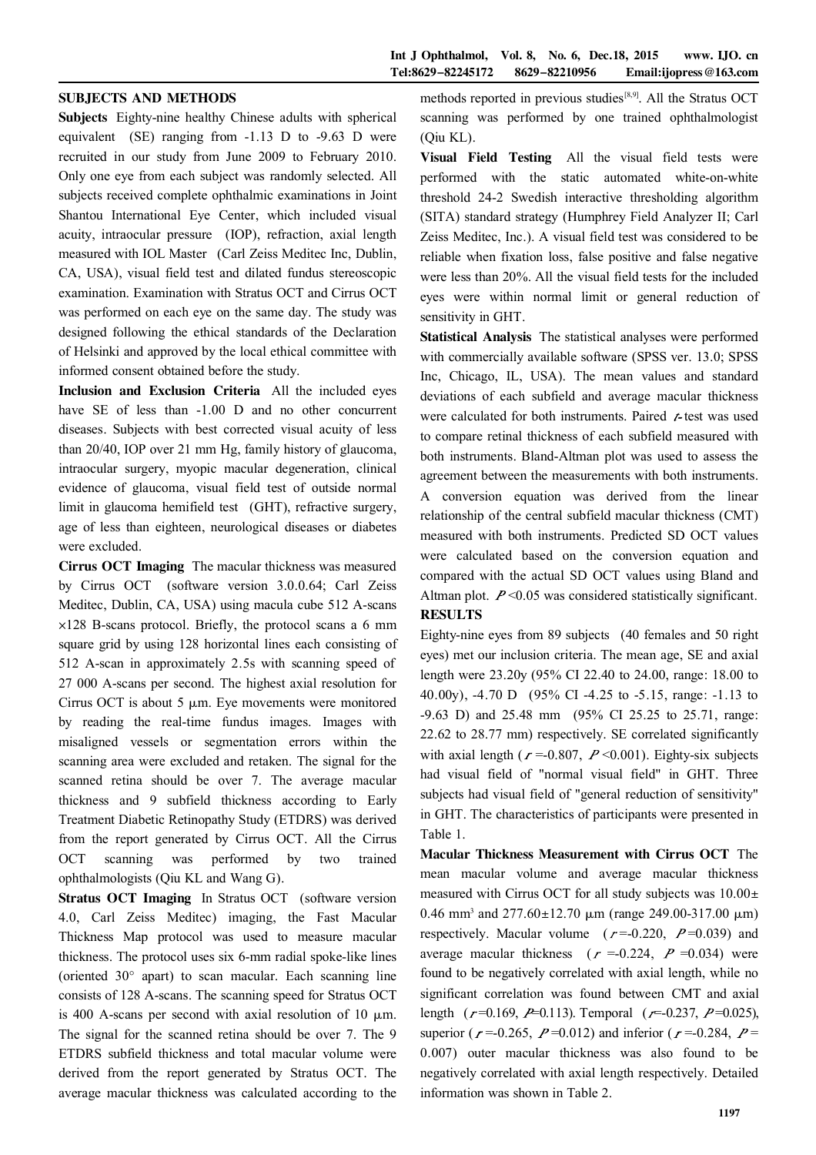#### SUBJECTS AND METHODS

Subjects Eighty-nine healthy Chinese adults with spherical equivalent (SE) ranging from -1.13 D to -9.63 D were recruited in our study from June 2009 to February 2010. Only one eye from each subject was randomly selected. All subjects received complete ophthalmic examinations in Joint Shantou International Eye Center, which included visual acuity, intraocular pressure (IOP), refraction, axial length measured with IOL Master (Carl Zeiss Meditec Inc, Dublin, CA, USA), visual field test and dilated fundus stereoscopic examination. Examination with Stratus OCT and Cirrus OCT was performed on each eye on the same day. The study was designed following the ethical standards of the Declaration of Helsinki and approved by the local ethical committee with informed consent obtained before the study.

Inclusion and Exclusion Criteria All the included eyes have SE of less than -1.00 D and no other concurrent diseases. Subjects with best corrected visual acuity of less than 20/40, IOP over 21 mm Hg, family history of glaucoma, intraocular surgery, myopic macular degeneration, clinical evidence of glaucoma, visual field test of outside normal limit in glaucoma hemifield test (GHT), refractive surgery, age of less than eighteen, neurological diseases or diabetes were excluded.

Cirrus OCT Imaging The macular thickness was measured by Cirrus OCT (software version 3.0.0.64; Carl Zeiss Meditec, Dublin, CA, USA) using macula cube 512 A-scans  $\times$ 128 B-scans protocol. Briefly, the protocol scans a 6 mm square grid by using 128 horizontal lines each consisting of 512 A-scan in approximately 2.5s with scanning speed of 27 000 A-scans per second. The highest axial resolution for Cirrus OCT is about 5  $\mu$ m. Eye movements were monitored by reading the real-time fundus images. Images with misaligned vessels or segmentation errors within the scanning area were excluded and retaken. The signal for the scanned retina should be over 7. The average macular thickness and 9 subfield thickness according to Early Treatment Diabetic Retinopathy Study (ETDRS) was derived from the report generated by Cirrus OCT. All the Cirrus OCT scanning was performed by two trained ophthalmologists (Qiu KL and Wang G).

Stratus OCT Imaging In Stratus OCT (software version 4.0, Carl Zeiss Meditec) imaging, the Fast Macular Thickness Map protocol was used to measure macular thickness. The protocol uses six 6-mm radial spoke-like lines (oriented  $30^{\circ}$  apart) to scan macular. Each scanning line consists of 128 A-scans. The scanning speed for Stratus OCT is 400 A-scans per second with axial resolution of 10  $\mu$ m. The signal for the scanned retina should be over 7. The 9 ETDRS subfield thickness and total macular volume were derived from the report generated by Stratus OCT. The average macular thickness was calculated according to the

methods reported in previous studies<sup>[8,9]</sup>. All the Stratus OCT scanning was performed by one trained ophthalmologist (Qiu KL).

Visual Field Testing All the visual field tests were performed with the static automated white-on-white threshold 24-2 Swedish interactive thresholding algorithm (SITA) standard strategy (Humphrey Field Analyzer II; Carl Zeiss Meditec, Inc.). A visual field test was considered to be reliable when fixation loss, false positive and false negative were less than 20%. All the visual field tests for the included eyes were within normal limit or general reduction of sensitivity in GHT.

Statistical Analysis The statistical analyses were performed with commercially available software (SPSS ver. 13.0; SPSS Inc, Chicago, IL, USA). The mean values and standard deviations of each subfield and average macular thickness were calculated for both instruments. Paired  $t$ -test was used to compare retinal thickness of each subfield measured with both instruments. Bland-Altman plot was used to assess the agreement between the measurements with both instruments. A conversion equation was derived from the linear relationship of the central subfield macular thickness (CMT) measured with both instruments. Predicted SD OCT values were calculated based on the conversion equation and compared with the actual SD OCT values using Bland and Altman plot.  $P \le 0.05$  was considered statistically significant. RESULTS

Eighty-nine eyes from 89 subjects (40 females and 50 right eyes) met our inclusion criteria. The mean age, SE and axial length were 23.20y (95% CI 22.40 to 24.00, range: 18.00 to 40.00y), -4.70 D (95% CI -4.25 to -5.15, range: -1.13 to -9.63 D) and 25.48 mm (95% CI 25.25 to 25.71, range: 22.62 to 28.77 mm) respectively. SE correlated significantly with axial length ( $r = 0.807$ ,  $P \le 0.001$ ). Eighty-six subjects had visual field of "normal visual field" in GHT. Three subjects had visual field of "general reduction of sensitivity" in GHT. The characteristics of participants were presented in Table 1.

Macular Thickness Measurement with Cirrus OCT The mean macular volume and average macular thickness measured with Cirrus OCT for all study subjects was  $10.00 \pm$  $0.46$  mm<sup>3</sup> and  $277.60 \pm 12.70$   $\mu$ m (range 249.00-317.00  $\mu$ m) respectively. Macular volume  $(r=0.220, P=0.039)$  and average macular thickness ( $r = 0.224$ ,  $P = 0.034$ ) were found to be negatively correlated with axial length, while no significant correlation was found between CMT and axial length  $(r=0.169, P=0.113)$ . Temporal  $(r=-0.237, P=0.025)$ , superior ( $r = 0.265$ ,  $P = 0.012$ ) and inferior ( $r = 0.284$ ,  $P =$ 0.007) outer macular thickness was also found to be negatively correlated with axial length respectively. Detailed information was shown in Table 2.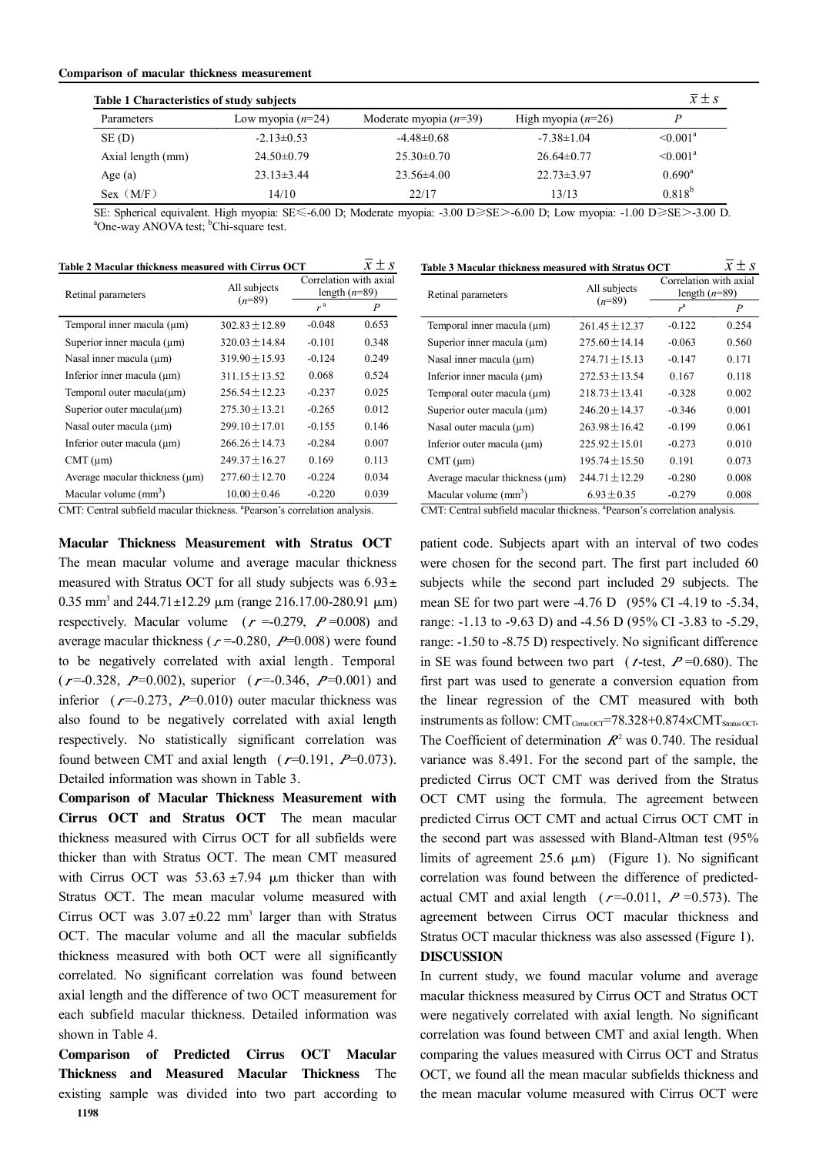#### Comparison of macular thickness measurement

| <b>Table 1 Characteristics of study subjects</b> |                     |                          |                      | $\overline{x} \pm s$ |
|--------------------------------------------------|---------------------|--------------------------|----------------------|----------------------|
| Parameters                                       | Low myopia $(n=24)$ | Moderate myopia $(n=39)$ | High myopia $(n=26)$ |                      |
| SE(D)                                            | $-2.13 \pm 0.53$    | $-4.48\pm0.68$           | $-7.38 \pm 1.04$     | $\leq 0.001^a$       |
| Axial length (mm)                                | $24.50\pm0.79$      | $25.30\pm0.70$           | $26.64\pm0.77$       | $\leq 0.001^a$       |
| Age (a)                                          | $23.13 \pm 3.44$    | $23.56\pm4.00$           | $22.73 \pm 3.97$     | $0.690^{\rm a}$      |
| Sex (M/F)                                        | 14/10               | 22/17                    | 13/13                | $0.818^{b}$          |

SE: Spherical equivalent. High myopia: SE≤-6.00 D; Moderate myopia: -3.00 D≥SE>-6.00 D; Low myopia: -1.00 D≥SE>-3.00 D. <sup>a</sup>One-way ANOVA test; <sup>b</sup>Chi-square test.

| Table 2 Macular thickness measured with Cirrus OCT |                    |                                           | $\overline{x} \pm s$ |  |
|----------------------------------------------------|--------------------|-------------------------------------------|----------------------|--|
| Retinal parameters                                 | All subjects       | Correlation with axial<br>length $(n=89)$ |                      |  |
|                                                    | $(n=89)$           | r <sup>a</sup>                            | P                    |  |
| Temporal inner macula $(\mu m)$                    | $302.83 \pm 12.89$ | $-0.048$                                  | 0.653                |  |
| Superior inner macula $(\mu m)$                    | $320.03 + 14.84$   | $-0.101$                                  | 0.348                |  |
| Nasal inner macula $(\mu m)$                       | $319.90 + 15.93$   | $-0.124$                                  | 0.249                |  |
| Inferior inner macula $(\mu m)$                    | $311.15 \pm 13.52$ | 0.068                                     | 0.524                |  |
| Temporal outer macula $(\mu m)$                    | $256.54 + 12.23$   | $-0.237$                                  | 0.025                |  |
| Superior outer macula $(\mu m)$                    | $275.30 \pm 13.21$ | $-0.265$                                  | 0.012                |  |
| Nasal outer macula $(\mu m)$                       | $299.10 + 17.01$   | $-0.155$                                  | 0.146                |  |
| Inferior outer macula $(\mu m)$                    | $266.26 \pm 14.73$ | $-0.284$                                  | 0.007                |  |
| $CMT$ ( $\mu$ m)                                   | $249.37 + 16.27$   | 0.169                                     | 0.113                |  |
| Average macular thickness $(\mu m)$                | $277.60 + 12.70$   | $-0.224$                                  | 0.034                |  |
| Macular volume $(mm^3)$                            | $10.00 + 0.46$     | $-0.220$                                  | 0.039                |  |

CMT: Central subfield macular thickness. a Pearson's correlation analysis.

Macular Thickness Measurement with Stratus OCT The mean macular volume and average macular thickness measured with Stratus OCT for all study subjects was  $6.93 \pm$ 0.35 mm<sup>3</sup> and 244.71±12.29  $\mu$ m (range 216.17.00-280.91  $\mu$ m) respectively. Macular volume  $(r = 0.279, P = 0.008)$  and average macular thickness ( $r = 0.280$ ,  $P = 0.008$ ) were found to be negatively correlated with axial length. Temporal  $(r=0.328, P=0.002)$ , superior  $(r=0.346, P=0.001)$  and inferior ( $r = -0.273$ ,  $P = 0.010$ ) outer macular thickness was also found to be negatively correlated with axial length respectively. No statistically significant correlation was found between CMT and axial length  $(r=0.191, P=0.073)$ . Detailed information was shown in Table 3.

Comparison of Macular Thickness Measurement with Cirrus OCT and Stratus OCT The mean macular thickness measured with Cirrus OCT for all subfields were thicker than with Stratus OCT. The mean CMT measured with Cirrus OCT was  $53.63 \pm 7.94$  µm thicker than with Stratus OCT. The mean macular volume measured with Cirrus OCT was  $3.07 \pm 0.22$  mm<sup>3</sup> larger than with Stratus OCT. The macular volume and all the macular subfields thickness measured with both OCT were all significantly correlated. No significant correlation was found between axial length and the difference of two OCT measurement for each subfield macular thickness. Detailed information was shown in Table 4.

Comparison of Predicted Cirrus OCT Macular Thickness and Measured Macular Thickness The existing sample was divided into two part according to 1198

| Table 3 Macular thickness measured with Stratus OCT | $\overline{x} \pm s$ |
|-----------------------------------------------------|----------------------|
|-----------------------------------------------------|----------------------|

| Retinal parameters                  | All subjects       | Correlation with axial<br>length $(n=89)$ |       |  |
|-------------------------------------|--------------------|-------------------------------------------|-------|--|
|                                     | $(n=89)$           | r <sup>a</sup>                            | P     |  |
| Temporal inner macula $(\mu m)$     | $261.45 + 12.37$   | $-0.122$                                  | 0.254 |  |
| Superior inner macula (um)          | $275.60 + 14.14$   | $-0.063$                                  | 0.560 |  |
| Nasal inner macula (µm)             | $274.71 + 15.13$   | $-0.147$                                  | 0.171 |  |
| Inferior inner macula $(\mu m)$     | $272.53 \pm 13.54$ | 0.167                                     | 0.118 |  |
| Temporal outer macula (µm)          | $218.73 + 13.41$   | $-0.328$                                  | 0.002 |  |
| Superior outer macula $(\mu m)$     | $246.20 \pm 14.37$ | $-0.346$                                  | 0.001 |  |
| Nasal outer macula (um)             | $263.98 + 16.42$   | $-0.199$                                  | 0.061 |  |
| Inferior outer macula (um)          | $225.92 + 15.01$   | $-0.273$                                  | 0.010 |  |
| $CMT(\mu m)$                        | $195.74 + 15.50$   | 0.191                                     | 0.073 |  |
| Average macular thickness $(\mu m)$ | $244.71 + 12.29$   | $-0.280$                                  | 0.008 |  |
| Macular volume $(mm3)$              | $6.93 \pm 0.35$    | $-0.279$                                  | 0.008 |  |

CMT: Central subfield macular thickness. a Pearson's correlation analysis.

patient code. Subjects apart with an interval of two codes were chosen for the second part. The first part included 60 subjects while the second part included 29 subjects. The mean SE for two part were -4.76 D (95% CI -4.19 to -5.34, range: -1.13 to -9.63 D) and -4.56 D (95% CI -3.83 to -5.29, range: -1.50 to -8.75 D) respectively. No significant difference in SE was found between two part ( $t$ -test,  $P=0.680$ ). The first part was used to generate a conversion equation from the linear regression of the CMT measured with both instruments as follow:  $CMT_{Cims OCT} = 78.328 + 0.874 \times CMT_{Stratus OCT}$ . The Coefficient of determination  $R^2$  was 0.740. The residual variance was 8.491. For the second part of the sample, the predicted Cirrus OCT CMT was derived from the Stratus OCT CMT using the formula. The agreement between predicted Cirrus OCT CMT and actual Cirrus OCT CMT in the second part was assessed with Bland-Altman test (95% limits of agreement  $25.6 \mu m$ ) (Figure 1). No significant correlation was found between the difference of predictedactual CMT and axial length ( $r = -0.011$ ,  $P = 0.573$ ). The agreement between Cirrus OCT macular thickness and Stratus OCT macular thickness was also assessed (Figure 1). **DISCUSSION** 

In current study, we found macular volume and average macular thickness measured by Cirrus OCT and Stratus OCT were negatively correlated with axial length. No significant correlation was found between CMT and axial length. When comparing the values measured with Cirrus OCT and Stratus OCT, we found all the mean macular subfields thickness and the mean macular volume measured with Cirrus OCT were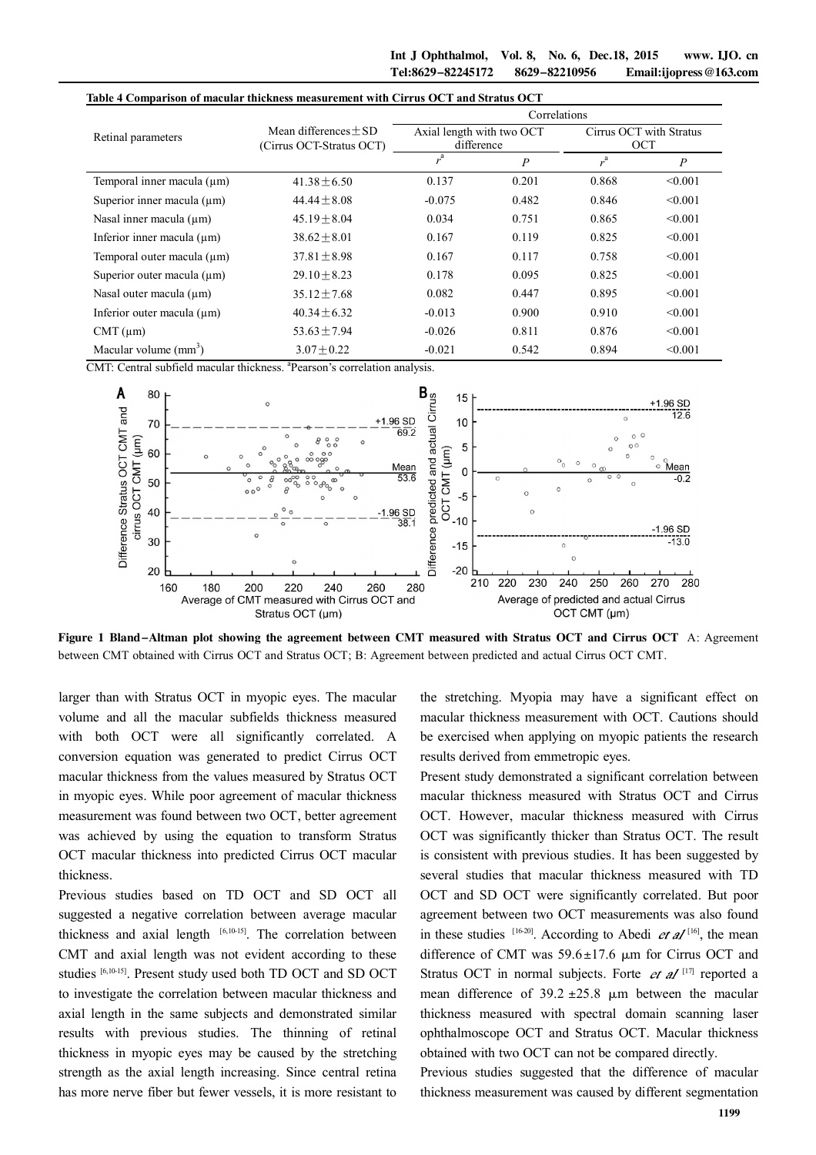|                                 | Table 4 Comparison of macular thickness measurement with Cirrus OCT and Stratus OCT<br>Correlations |                                         |                  |                                       |                  |
|---------------------------------|-----------------------------------------------------------------------------------------------------|-----------------------------------------|------------------|---------------------------------------|------------------|
| Retinal parameters              | Mean differences $+$ SD<br>(Cirrus OCT-Stratus OCT)                                                 | Axial length with two OCT<br>difference |                  | Cirrus OCT with Stratus<br><b>OCT</b> |                  |
|                                 |                                                                                                     | r <sup>a</sup>                          | $\boldsymbol{P}$ | $r^{a}$                               | $\boldsymbol{P}$ |
| Temporal inner macula $(\mu m)$ | $41.38 \pm 6.50$                                                                                    | 0.137                                   | 0.201            | 0.868                                 | < 0.001          |
| Superior inner macula (um)      | $44.44 \pm 8.08$                                                                                    | $-0.075$                                | 0.482            | 0.846                                 | < 0.001          |
| Nasal inner macula $(\mu m)$    | $45.19 \pm 8.04$                                                                                    | 0.034                                   | 0.751            | 0.865                                 | < 0.001          |
| Inferior inner macula $(\mu m)$ | $38.62 \pm 8.01$                                                                                    | 0.167                                   | 0.119            | 0.825                                 | < 0.001          |
| Temporal outer macula (um)      | $37.81 \pm 8.98$                                                                                    | 0.167                                   | 0.117            | 0.758                                 | < 0.001          |
| Superior outer macula (um)      | $29.10 \pm 8.23$                                                                                    | 0.178                                   | 0.095            | 0.825                                 | < 0.001          |
| Nasal outer macula $(\mu m)$    | $35.12 \pm 7.68$                                                                                    | 0.082                                   | 0.447            | 0.895                                 | < 0.001          |
| Inferior outer macula $(\mu m)$ | $40.34 \pm 6.32$                                                                                    | $-0.013$                                | 0.900            | 0.910                                 | < 0.001          |
| $CMT(\mu m)$                    | $53.63 \pm 7.94$                                                                                    | $-0.026$                                | 0.811            | 0.876                                 | < 0.001          |
| Macular volume $(mm3)$          | $3.07 + 0.22$                                                                                       | $-0.021$                                | 0.542            | 0.894                                 | < 0.001          |

CMT: Central subfield macular thickness. <sup>a</sup> Pearson's correlation analysis.



Figure 1 Bland-Altman plot showing the agreement between CMT measured with Stratus OCT and Cirrus OCT A: Agreement between CMT obtained with Cirrus OCT and Stratus OCT; B: Agreement between predicted and actual Cirrus OCT CMT.

larger than with Stratus OCT in myopic eyes. The macular volume and all the macular subfields thickness measured with both OCT were all significantly correlated. A conversion equation was generated to predict Cirrus OCT macular thickness from the values measured by Stratus OCT in myopic eyes. While poor agreement of macular thickness measurement was found between two OCT, better agreement was achieved by using the equation to transform Stratus OCT macular thickness into predicted Cirrus OCT macular thickness.

Previous studies based on TD OCT and SD OCT all suggested a negative correlation between average macular thickness and axial length [6,10-15]. The correlation between CMT and axial length was not evident according to these studies [6,10-15]. Present study used both TD OCT and SD OCT to investigate the correlation between macular thickness and axial length in the same subjects and demonstrated similar results with previous studies. The thinning of retinal thickness in myopic eyes may be caused by the stretching strength as the axial length increasing. Since central retina has more nerve fiber but fewer vessels, it is more resistant to

the stretching. Myopia may have a significant effect on macular thickness measurement with OCT. Cautions should be exercised when applying on myopic patients the research results derived from emmetropic eyes.

Present study demonstrated a significant correlation between macular thickness measured with Stratus OCT and Cirrus OCT. However, macular thickness measured with Cirrus OCT was significantly thicker than Stratus OCT. The result is consistent with previous studies. It has been suggested by several studies that macular thickness measured with TD OCT and SD OCT were significantly correlated. But poor agreement between two OCT measurements was also found in these studies  $[16-20]$ . According to Abedi *et al*  $[16]$ , the mean difference of CMT was  $59.6 \pm 17.6$  µm for Cirrus OCT and Stratus OCT in normal subjects. Forte  $et$   $aI$ <sup>[17]</sup> reported a mean difference of  $39.2 \pm 25.8 \mu m$  between the macular thickness measured with spectral domain scanning laser ophthalmoscope OCT and Stratus OCT. Macular thickness obtained with two OCT can not be compared directly.

Previous studies suggested that the difference of macular thickness measurement was caused by different segmentation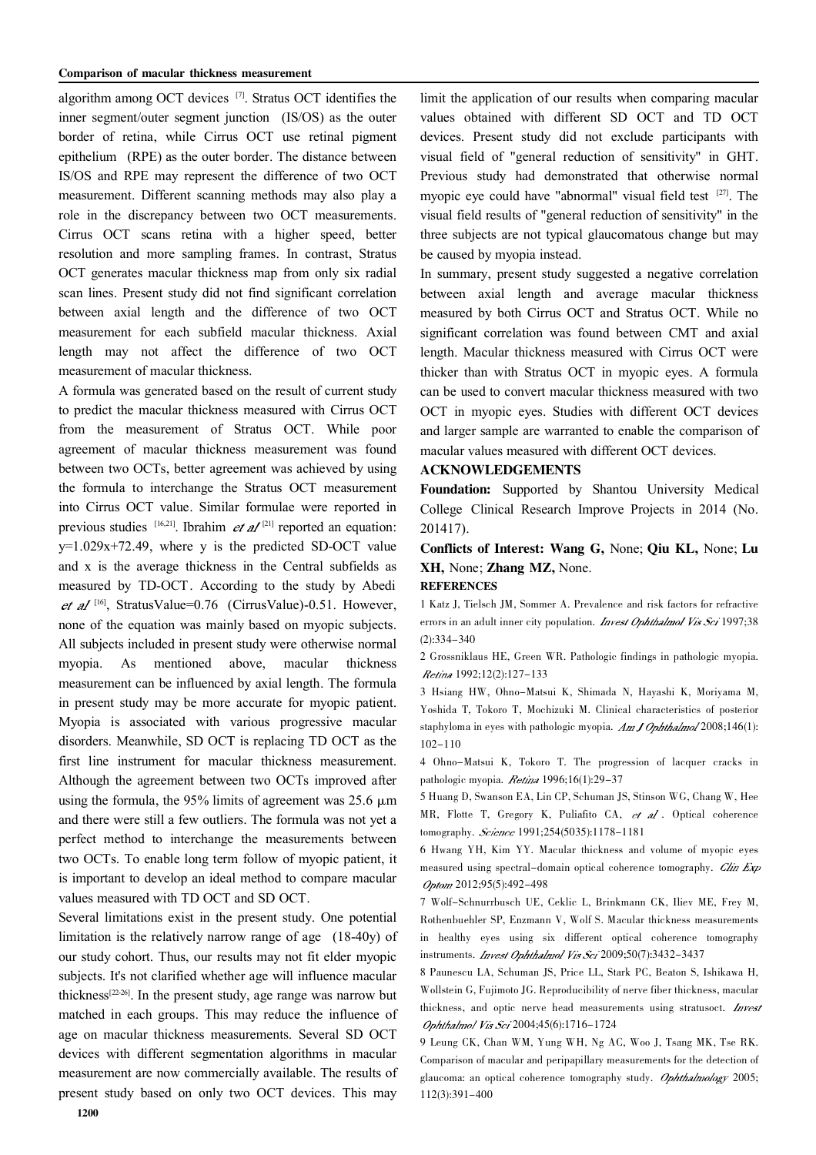algorithm among OCT devices <sup>[7]</sup>. Stratus OCT identifies the inner segment/outer segment junction (IS/OS) as the outer border of retina, while Cirrus OCT use retinal pigment epithelium (RPE) as the outer border. The distance between IS/OS and RPE may represent the difference of two OCT measurement. Different scanning methods may also play a role in the discrepancy between two OCT measurements. Cirrus OCT scans retina with a higher speed, better resolution and more sampling frames. In contrast, Stratus OCT generates macular thickness map from only six radial scan lines. Present study did not find significant correlation between axial length and the difference of two OCT measurement for each subfield macular thickness. Axial length may not affect the difference of two OCT measurement of macular thickness.

A formula was generated based on the result of current study to predict the macular thickness measured with Cirrus OCT from the measurement of Stratus OCT. While poor agreement of macular thickness measurement was found between two OCTs, better agreement was achieved by using the formula to interchange the Stratus OCT measurement into Cirrus OCT value. Similar formulae were reported in previous studies  $[16,21]$ . Ibrahim *et al*<sup>[21]</sup> reported an equation:  $y=1.029x+72.49$ , where y is the predicted SD-OCT value and x is the average thickness in the Central subfields as measured by TD-OCT. According to the study by Abedi [16] , StratusValue=0.76 (CirrusValue)-0.51. However, none of the equation was mainly based on myopic subjects. All subjects included in present study were otherwise normal myopia. As mentioned above, macular thickness measurement can be influenced by axial length. The formula in present study may be more accurate for myopic patient. Myopia is associated with various progressive macular disorders. Meanwhile, SD OCT is replacing TD OCT as the first line instrument for macular thickness measurement. Although the agreement between two OCTs improved after using the formula, the 95% limits of agreement was  $25.6 \mu m$ and there were still a few outliers. The formula was not yet a perfect method to interchange the measurements between two OCTs. To enable long term follow of myopic patient, it is important to develop an ideal method to compare macular values measured with TD OCT and SD OCT.

Several limitations exist in the present study. One potential limitation is the relatively narrow range of age (18-40y) of our study cohort. Thus, our results may not fit elder myopic subjects. It's not clarified whether age will influence macular thickness<sup>[22-26]</sup>. In the present study, age range was narrow but matched in each groups. This may reduce the influence of age on macular thickness measurements. Several SD OCT devices with different segmentation algorithms in macular measurement are now commercially available. The results of present study based on only two OCT devices. This may limit the application of our results when comparing macular values obtained with different SD OCT and TD OCT devices. Present study did not exclude participants with visual field of "general reduction of sensitivity" in GHT. Previous study had demonstrated that otherwise normal myopic eye could have "abnormal" visual field test [27]. The visual field results of "general reduction of sensitivity" in the three subjects are not typical glaucomatous change but may be caused by myopia instead.

In summary, present study suggested a negative correlation between axial length and average macular thickness measured by both Cirrus OCT and Stratus OCT. While no significant correlation was found between CMT and axial length. Macular thickness measured with Cirrus OCT were thicker than with Stratus OCT in myopic eyes. A formula can be used to convert macular thickness measured with two OCT in myopic eyes. Studies with different OCT devices and larger sample are warranted to enable the comparison of macular values measured with different OCT devices.

#### ACKNOWLEDGEMENTS

Foundation: Supported by Shantou University Medical College Clinical Research Improve Projects in 2014 (No. 201417).

Conflicts of Interest: Wang G, None; Qiu KL, None; Lu XH, None; Zhang MZ, None.

## **REFERENCES**

1 Katz J, Tielsch JM, Sommer A. Prevalence and risk factors for refractive errors in an adult inner city population. Invest Ophthalmol Vis Sci 1997;38 (2):334-340

2 Grossniklaus HE, Green WR. Pathologic findings in pathologic myopia. Retina 1992;12(2):127-133

3 Hsiang HW, Ohno-Matsui K, Shimada N, Hayashi K, Moriyama M, Yoshida T, Tokoro T, Mochizuki M. Clinical characteristics of posterior staphyloma in eyes with pathologic myopia. Am J Ophthalmol 2008;146(1): 102-110

4 Ohno-Matsui K, Tokoro T. The progression of lacquer cracks in pathologic myopia. Retina 1996;16(1):29-37

5 Huang D, Swanson EA, Lin CP, Schuman JS, Stinson WG, Chang W, Hee MR, Flotte T, Gregory K, Puliafito CA, et al. Optical coherence tomography. Science 1991;254(5035):1178-1181

6 Hwang YH, Kim YY. Macular thickness and volume of myopic eyes measured using spectral-domain optical coherence tomography. Clin Exp Optom 2012;95(5):492-498

7 Wolf-Schnurrbusch UE, Ceklic L, Brinkmann CK, Iliev ME, Frey M, Rothenbuehler SP, Enzmann V, Wolf S. Macular thickness measurements in healthy eyes using six different optical coherence tomography instruments. *Invest Ophthalmol Vis Sci* 2009;50(7):3432-3437

8 Paunescu LA, Schuman JS, Price LL, Stark PC, Beaton S, Ishikawa H, Wollstein G, Fujimoto JG. Reproducibility of nerve fiber thickness, macular thickness, and optic nerve head measurements using stratusoct. Invest Ophthalmol Vis Sci 2004;45(6):1716-1724

9 Leung CK, Chan WM, Yung WH, Ng AC, Woo J, Tsang MK, Tse RK. Comparison of macular and peripapillary measurements for the detection of glaucoma: an optical coherence tomography study. Ophthalmology 2005; 112(3):391-400